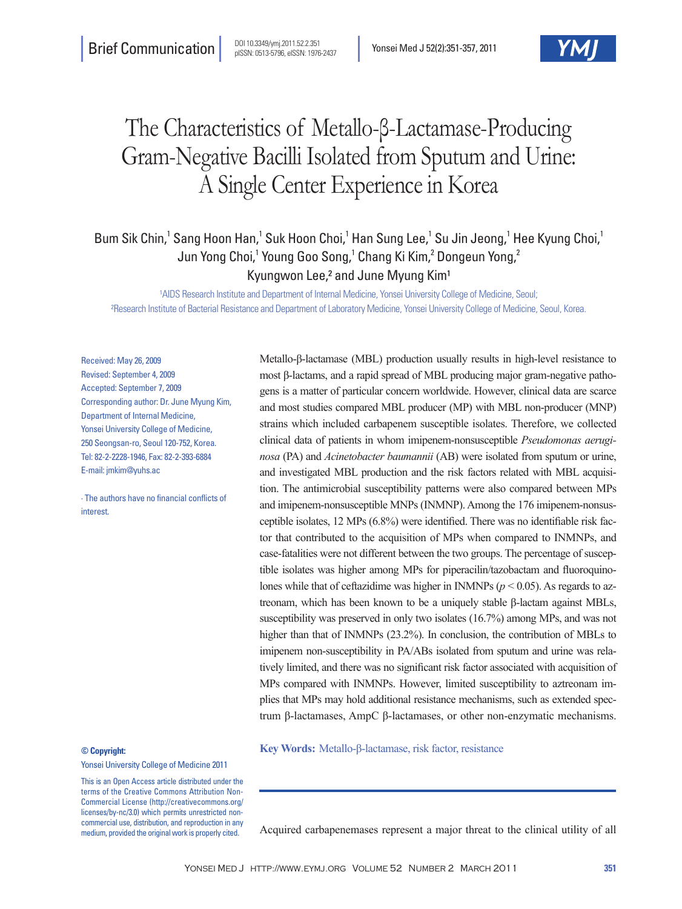# The Characteristics of Metallo-β-Lactamase-Producing Gram-Negative Bacilli Isolated from Sputum and Urine: A Single Center Experience in Korea

Bum Sik Chin,<sup>1</sup> Sang Hoon Han,<sup>1</sup> Suk Hoon Choi,<sup>1</sup> Han Sung Lee,<sup>1</sup> Su Jin Jeong,<sup>1</sup> Hee Kyung Choi,<sup>1</sup> Jun Yong Choi,<sup>1</sup> Young Goo Song,<sup>1</sup> Chang Ki Kim,<sup>2</sup> Dongeun Yong,<sup>2</sup> Kyungwon Lee,<sup>2</sup> and June Myung Kim<sup>1</sup>

<sup>1</sup>AIDS Research Institute and Department of Internal Medicine, Yonsei University College of Medicine, Seoul; ²Research Institute of Bacterial Resistance and Department of Laboratory Medicine, Yonsei University College of Medicine, Seoul, Korea.

Received: May 26, 2009 Revised: September 4, 2009 Accepted: September 7, 2009 Corresponding author: Dr. June Myung Kim, Department of Internal Medicine, Yonsei University College of Medicine, 250 Seongsan-ro, Seoul 120-752, Korea. Tel: 82-2-2228-1946, Fax: 82-2-393-6884 E-mail: jmkim@yuhs.ac

∙ The authors have no financial conflicts of interest.

### **© Copyright:**

Yonsei University College of Medicine 2011

This is an Open Access article distributed under the terms of the Creative Commons Attribution Non-Commercial License (http://creativecommons.org/ licenses/by-nc/3.0) which permits unrestricted noncommercial use, distribution, and reproduction in any medium, provided the original work is properly cited.

Metallo-β-lactamase (MBL) production usually results in high-level resistance to most β-lactams, and a rapid spread of MBL producing major gram-negative pathogens is a matter of particular concern worldwide. However, clinical data are scarce and most studies compared MBL producer (MP) with MBL non-producer (MNP) strains which included carbapenem susceptible isolates. Therefore, we collected clinical data of patients in whom imipenem-nonsusceptible *Pseudomonas aeruginosa* (PA) and *Acinetobacter baumannii* (AB) were isolated from sputum or urine, and investigated MBL production and the risk factors related with MBL acquisition. The antimicrobial susceptibility patterns were also compared between MPs and imipenem-nonsusceptible MNPs (INMNP). Among the 176 imipenem-nonsusceptible isolates, 12 MPs (6.8%) were identified. There was no identifiable risk factor that contributed to the acquisition of MPs when compared to INMNPs, and case-fatalities were not different between the two groups. The percentage of susceptible isolates was higher among MPs for piperacilin/tazobactam and fluoroquinolones while that of ceftazidime was higher in INMNPs ( $p < 0.05$ ). As regards to aztreonam, which has been known to be a uniquely stable β-lactam against MBLs, susceptibility was preserved in only two isolates (16.7%) among MPs, and was not higher than that of INMNPs (23.2%). In conclusion, the contribution of MBLs to imipenem non-susceptibility in PA/ABs isolated from sputum and urine was relatively limited, and there was no significant risk factor associated with acquisition of MPs compared with INMNPs. However, limited susceptibility to aztreonam implies that MPs may hold additional resistance mechanisms, such as extended spectrum β-lactamases, AmpC β-lactamases, or other non-enzymatic mechanisms.

**Key Words:** Metallo-β-lactamase, risk factor, resistance

Acquired carbapenemases represent a major threat to the clinical utility of all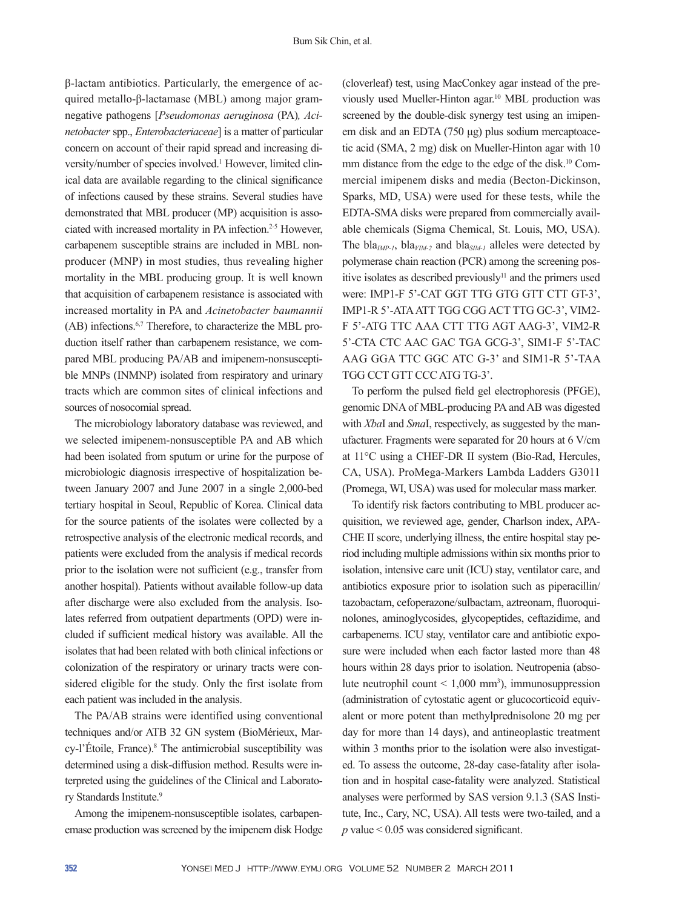β-lactam antibiotics. Particularly, the emergence of acquired metallo-β-lactamase (MBL) among major gramnegative pathogens [*Pseudomonas aeruginosa* (PA)*, Acinetobacter* spp., *Enterobacteriaceae*] is a matter of particular concern on account of their rapid spread and increasing diversity/number of species involved.<sup>1</sup> However, limited clinical data are available regarding to the clinical significance of infections caused by these strains. Several studies have demonstrated that MBL producer (MP) acquisition is associated with increased mortality in PA infection.2-5 However, carbapenem susceptible strains are included in MBL nonproducer (MNP) in most studies, thus revealing higher mortality in the MBL producing group. It is well known that acquisition of carbapenem resistance is associated with increased mortality in PA and *Acinetobacter baumannii* (AB) infections.6,7 Therefore, to characterize the MBL production itself rather than carbapenem resistance, we compared MBL producing PA/AB and imipenem-nonsusceptible MNPs (INMNP) isolated from respiratory and urinary tracts which are common sites of clinical infections and sources of nosocomial spread.

The microbiology laboratory database was reviewed, and we selected imipenem-nonsusceptible PA and AB which had been isolated from sputum or urine for the purpose of microbiologic diagnosis irrespective of hospitalization between January 2007 and June 2007 in a single 2,000-bed tertiary hospital in Seoul, Republic of Korea. Clinical data for the source patients of the isolates were collected by a retrospective analysis of the electronic medical records, and patients were excluded from the analysis if medical records prior to the isolation were not sufficient (e.g., transfer from another hospital). Patients without available follow-up data after discharge were also excluded from the analysis. Isolates referred from outpatient departments (OPD) were included if sufficient medical history was available. All the isolates that had been related with both clinical infections or colonization of the respiratory or urinary tracts were considered eligible for the study. Only the first isolate from each patient was included in the analysis.

The PA/AB strains were identified using conventional techniques and/or ATB 32 GN system (BioMérieux, Marcy-l'Étoile, France).<sup>8</sup> The antimicrobial susceptibility was determined using a disk-diffusion method. Results were interpreted using the guidelines of the Clinical and Laboratory Standards Institute.<sup>9</sup>

Among the imipenem-nonsusceptible isolates, carbapenemase production was screened by the imipenem disk Hodge (cloverleaf) test, using MacConkey agar instead of the previously used Mueller-Hinton agar.10 MBL production was screened by the double-disk synergy test using an imipenem disk and an EDTA (750 μg) plus sodium mercaptoacetic acid (SMA, 2 mg) disk on Mueller-Hinton agar with 10 mm distance from the edge to the edge of the disk.<sup>10</sup> Commercial imipenem disks and media (Becton-Dickinson, Sparks, MD, USA) were used for these tests, while the EDTA-SMA disks were prepared from commercially available chemicals (Sigma Chemical, St. Louis, MO, USA). The bla<sub>*IMP-1*</sub>, bla<sub>*VIM-2*</sub> and bla<sub>*SIM-1*</sub> alleles were detected by polymerase chain reaction (PCR) among the screening positive isolates as described previously<sup>11</sup> and the primers used were: IMP1-F 5'-CAT GGT TTG GTG GTT CTT GT-3', IMP1-R 5'-ATA ATT TGG CGG ACT TTG GC-3', VIM2- F 5'-ATG TTC AAA CTT TTG AGT AAG-3', VIM2-R 5'-CTA CTC AAC GAC TGA GCG-3', SIM1-F 5'-TAC AAG GGA TTC GGC ATC G-3' and SIM1-R 5'-TAA TGG CCT GTT CCC ATG TG-3'.

To perform the pulsed field gel electrophoresis (PFGE), genomic DNA of MBL-producing PA and AB was digested with *Xba*I and *Sma*I, respectively, as suggested by the manufacturer. Fragments were separated for 20 hours at 6 V/cm at 11°C using a CHEF-DR II system (Bio-Rad, Hercules, CA, USA). ProMega-Markers Lambda Ladders G3011 (Promega, WI, USA) was used for molecular mass marker.

To identify risk factors contributing to MBL producer acquisition, we reviewed age, gender, Charlson index, APA-CHE II score, underlying illness, the entire hospital stay period including multiple admissions within six months prior to isolation, intensive care unit (ICU) stay, ventilator care, and antibiotics exposure prior to isolation such as piperacillin/ tazobactam, cefoperazone/sulbactam, aztreonam, fluoroquinolones, aminoglycosides, glycopeptides, ceftazidime, and carbapenems. ICU stay, ventilator care and antibiotic exposure were included when each factor lasted more than 48 hours within 28 days prior to isolation. Neutropenia (absolute neutrophil count  $\leq 1,000$  mm<sup>3</sup>), immunosuppression (administration of cytostatic agent or glucocorticoid equivalent or more potent than methylprednisolone 20 mg per day for more than 14 days), and antineoplastic treatment within 3 months prior to the isolation were also investigated. To assess the outcome, 28-day case-fatality after isolation and in hospital case-fatality were analyzed. Statistical analyses were performed by SAS version 9.1.3 (SAS Institute, Inc., Cary, NC, USA). All tests were two-tailed, and a *p* value < 0.05 was considered significant.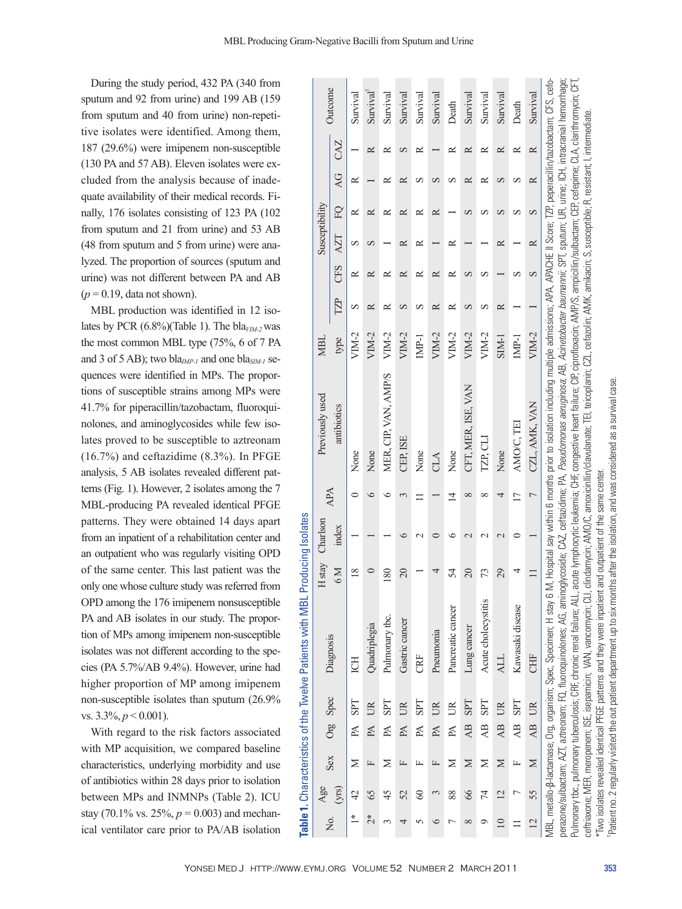During the study period, 432 PA (340 from sputum and 92 from urine) and 199 AB (159 from sputum and 40 from urine) non-repetitive isolates were identified. Among them, 187 (29.6%) were imipenem non-susceptible (130 PA and 57 AB). Eleven isolates were excluded from the analysis because of inadequate availability of their medical records. Finally, 176 isolates consisting of 123 PA (102 from sputum and 21 from urine) and 53 AB (48 from sputum and 5 from urine) were analyzed. The proportion of sources (sputum and urine) was not different between PA and AB  $(p=0.19, \text{data not shown}).$ 

MBL production was identified in 12 isolates by PCR  $(6.8\%)$ (Table 1). The bla<sub>*VIM-2*</sub> was the most common MBL type (75%, 6 of 7 PA and 3 of 5 AB); two bla*IMP-1* and one bla*SIM-1* sequences were identified in MPs. The proportions of susceptible strains among MPs were 41.7% for piperacillin/tazobactam, fluoroquinolones, and aminoglycosides while few isolates proved to be susceptible to aztreonam (16.7%) and ceftazidime (8.3%). In PFGE analysis, 5 AB isolates revealed different patterns (Fig. 1). However, 2 isolates among the 7 MBL-producing PA revealed identical PFGE patterns. They were obtained 14 days apart from an inpatient of a rehabilitation center and an outpatient who was regularly visiting OPD of the same center. This last patient was the only one whose culture study was referred from OPD among the 176 imipenem nonsusceptible PA and AB isolates in our study. The proportion of MPs among imipenem non-susceptible isolates was not different according to the species (PA 5.7%/AB 9.4%). However, urine had higher proportion of MP among imipenem non-susceptible isolates than sputum (26.9% vs. 3.3%, *p* < 0.001).

With regard to the risk factors associated with MP acquisition, we compared baseline characteristics, underlying morbidity and use of antibiotics within 28 days prior to isolation between MPs and INMNPs (Table 2). ICU stay (70.1% vs. 25%,  $p = 0.003$ ) and mechanical ventilator care prior to PA/AB isolation

| Σò.                               | Age            | <b>Sex</b> |                 |              |                                                                                                                                                                                                                     | H <sub>stay</sub>        | Charlson | APA | Previously used                                                                                                                                                                                                                                                                                                                                                                                                                                                                                                                                                                                                                                             | MBI     |     |            | Susceptibility |            |                 |           |          |
|-----------------------------------|----------------|------------|-----------------|--------------|---------------------------------------------------------------------------------------------------------------------------------------------------------------------------------------------------------------------|--------------------------|----------|-----|-------------------------------------------------------------------------------------------------------------------------------------------------------------------------------------------------------------------------------------------------------------------------------------------------------------------------------------------------------------------------------------------------------------------------------------------------------------------------------------------------------------------------------------------------------------------------------------------------------------------------------------------------------------|---------|-----|------------|----------------|------------|-----------------|-----------|----------|
|                                   | (yrs)          |            |                 | Org Spec     | Diagnosis                                                                                                                                                                                                           | $M_{\odot}$              | index    |     | antibiotics                                                                                                                                                                                                                                                                                                                                                                                                                                                                                                                                                                                                                                                 | type    | TZP | <b>CFS</b> | <b>AZT</b>     | $\Gamma Q$ | $\overline{AC}$ | CAZ       | Outcome  |
| $\stackrel{*}{\equiv}$            | 42             | ⋝          |                 | PA SPT       | ICH                                                                                                                                                                                                                 | $\infty$                 |          |     | None                                                                                                                                                                                                                                                                                                                                                                                                                                                                                                                                                                                                                                                        | VIM-2   | S   | ≃          |                |            |                 |           | Survival |
| $\stackrel{*}{\scriptstyle \sim}$ | 65             | 匞          |                 | PA UR        | Quadriplegia                                                                                                                                                                                                        |                          |          |     | None                                                                                                                                                                                                                                                                                                                                                                                                                                                                                                                                                                                                                                                        | $VIM-2$ |     |            |                |            |                 |           | Survival |
|                                   | 45             | ≍          | PA              | <b>SPT</b>   | Pulmonary tbc.                                                                                                                                                                                                      | $\overline{80}$          |          |     | MER, CIP, VAN, AMP/S                                                                                                                                                                                                                                                                                                                                                                                                                                                                                                                                                                                                                                        | $VIM-2$ |     |            |                |            |                 |           | Survival |
|                                   | 52             | 匞          | PA              | $\mathbb{R}$ | Gastric cancer                                                                                                                                                                                                      | $\Omega$                 |          |     | CEP. ISE                                                                                                                                                                                                                                                                                                                                                                                                                                                                                                                                                                                                                                                    | VIM-2   | ∽   | ≃          |                | ≃          |                 |           | Survival |
|                                   | 8              | 匞          | PA              | <b>LdS</b>   | CRF                                                                                                                                                                                                                 |                          |          |     | None                                                                                                                                                                                                                                                                                                                                                                                                                                                                                                                                                                                                                                                        | IMP-1   | ∽   | ≃          |                | ≃          |                 |           | Survival |
|                                   |                | 匞          | PA              | UR           | Pneumonia                                                                                                                                                                                                           |                          |          |     | CLA                                                                                                                                                                                                                                                                                                                                                                                                                                                                                                                                                                                                                                                         | VIM-2   |     |            |                | ≃          |                 |           | Survival |
|                                   | 88             | ≍          | PA              | $\mathbb{R}$ | Pancreatic cancer                                                                                                                                                                                                   | 54                       |          | ₫   | None                                                                                                                                                                                                                                                                                                                                                                                                                                                                                                                                                                                                                                                        | VIM-2   | ≃   | ≃          |                |            |                 |           | Death    |
| ∞                                 | 66             | Σ          | $\overline{AB}$ | <b>LdS</b>   | Lung cancer                                                                                                                                                                                                         | $\overline{\mathcal{L}}$ |          |     | CFT, MER, ISE, VAN                                                                                                                                                                                                                                                                                                                                                                                                                                                                                                                                                                                                                                          | $VIM-2$ |     |            |                |            |                 |           | Survival |
|                                   | 4              | Σ          | AB              | <b>SPT</b>   | Acute cholecystitis                                                                                                                                                                                                 | 73                       |          |     | IZP, CLI                                                                                                                                                                                                                                                                                                                                                                                                                                                                                                                                                                                                                                                    | VIM-2   |     | ∽          |                |            |                 |           | Survival |
| $\overline{10}$                   | $\overline{2}$ | $\geq$     | $\overline{AB}$ | UR           | <b>ALL</b>                                                                                                                                                                                                          | 29                       |          | 4   | None                                                                                                                                                                                                                                                                                                                                                                                                                                                                                                                                                                                                                                                        | SIM-1   | ≃   |            |                | ∽          |                 | ≃         | Survival |
|                                   | ŗ              | 匞          | $\overline{AB}$ | <b>TdS</b>   | Kawasaki disease                                                                                                                                                                                                    |                          |          |     | AMO/C, TEI                                                                                                                                                                                                                                                                                                                                                                                                                                                                                                                                                                                                                                                  | $IMP-1$ |     |            |                | ∽          |                 | ≃         | Death    |
| $\overline{2}$                    | 55             | $\geq$     |                 | AB UR        | CHF                                                                                                                                                                                                                 |                          |          |     | CZL, AMK, VAN                                                                                                                                                                                                                                                                                                                                                                                                                                                                                                                                                                                                                                               | $VIM-2$ |     | S          |                | S          | ≃               | $\approx$ | Survival |
|                                   |                |            |                 |              | Pulmonary tbc., pulmonary tuberculosis; CRF, chronic renal failure; ALL,<br>MBL, metallo-ß-lactamase; Org, organism; Spec, Specimen; H stay 6<br>ceftriaxone; MER, meropenem; ISE, isepamicin; VAN, vancomycin; CLI |                          |          |     | perazone/sulbactam; FQ, fluoroquinolones; AG, aminoglycoside; CAZ, ceftazidime; PA, Pseudomonas aeruginosa; AB, Acinetobacter baumannii; SPT, sputum; UR, urine; ICH, intracranial hemorrhage;<br>M, Hospital say within 6 months prior to isolation including multiple admissions; APA, APACHE II Score; TZP, peperacillin/tazobactam; CFS, cefo-<br>acute lymphocytic leukemia; CHF, congestive heart failure; CIP, ciprofloxacin; AMP/S, ampicillin/sulbactam; CEP, cefepime; CLA, clarithromycin; CFT<br>clindamycin; AVIO/C, amoxicinllin/clavulanate; TEI, teicoplanin; CZL, cefazolin; AVIK, amikacin; S, susceptible; R, resistant; I, intermediate |         |     |            |                |            |                 |           |          |

|                                                                                              | i                  |
|----------------------------------------------------------------------------------------------|--------------------|
|                                                                                              |                    |
|                                                                                              |                    |
|                                                                                              |                    |
| ۱                                                                                            |                    |
| ֦֦֦֦֦֧֦֧֦֧֦֧֦֧֧֧֪֪֪֪֪֪֪֪֪֪֪֪֪֪֪֪֪֪֚֚֚֝֬֝֝֬֝֬֝֬֝֬֝֓֬֝֬֝֓֬֝֬֝֓֬֝֓֟֓֝֬֝֓֝֓֝֬֝֓֝֬֝֓֬֝֓֝֬֝֓֝֬֝֓֝֬ |                    |
|                                                                                              |                    |
|                                                                                              |                    |
|                                                                                              |                    |
|                                                                                              |                    |
|                                                                                              | i                  |
|                                                                                              |                    |
|                                                                                              |                    |
|                                                                                              | į                  |
|                                                                                              | i                  |
|                                                                                              |                    |
| I<br>i<br>֚֘                                                                                 |                    |
|                                                                                              |                    |
|                                                                                              |                    |
|                                                                                              |                    |
|                                                                                              |                    |
|                                                                                              | $\frac{1}{2}$<br>l |
| ŀ                                                                                            | Ĺ                  |

"Two isolates revealed identical PFGE patterns and they were inpatient and outpatient of the same center

**Table 1.** Characteristics of the Twelve Patients with MBL Producing Isolates

Table 1. Characteristics of the Twelve Patients with MBL Producing Isolates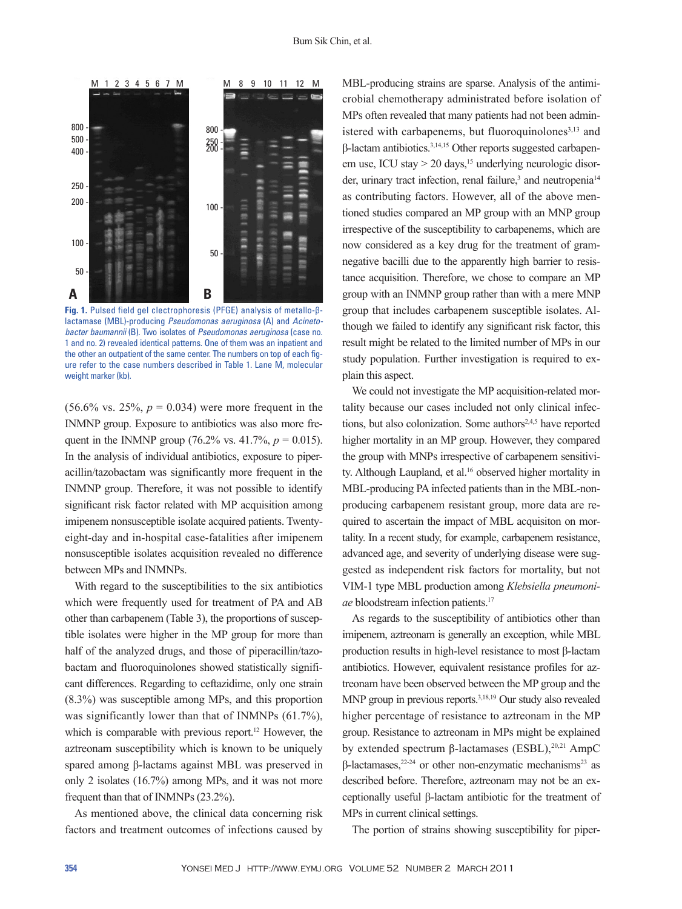

**Fig. 1.** Pulsed field gel clectrophoresis (PFGE) analysis of metallo-βlactamase (MBL)-producing *Pseudomonas aeruginosa* (A) and *Acinetobacter baumannii* (B). Two isolates of *Pseudomonas aeruginosa* (case no. 1 and no. 2) revealed identical patterns. One of them was an inpatient and the other an outpatient of the same center. The numbers on top of each figure refer to the case numbers described in Table 1. Lane M, molecular weight marker (kb).

 $(56.6\% \text{ vs. } 25\%, p = 0.034)$  were more frequent in the INMNP group. Exposure to antibiotics was also more frequent in the INMNP group (76.2% vs. 41.7%,  $p = 0.015$ ). In the analysis of individual antibiotics, exposure to piperacillin/tazobactam was significantly more frequent in the INMNP group. Therefore, it was not possible to identify significant risk factor related with MP acquisition among imipenem nonsusceptible isolate acquired patients. Twentyeight-day and in-hospital case-fatalities after imipenem nonsusceptible isolates acquisition revealed no difference between MPs and INMNPs.

With regard to the susceptibilities to the six antibiotics which were frequently used for treatment of PA and AB other than carbapenem (Table 3), the proportions of susceptible isolates were higher in the MP group for more than half of the analyzed drugs, and those of piperacillin/tazobactam and fluoroquinolones showed statistically significant differences. Regarding to ceftazidime, only one strain (8.3%) was susceptible among MPs, and this proportion was significantly lower than that of INMNPs (61.7%), which is comparable with previous report.<sup>12</sup> However, the aztreonam susceptibility which is known to be uniquely spared among β-lactams against MBL was preserved in only 2 isolates (16.7%) among MPs, and it was not more frequent than that of INMNPs (23.2%).

As mentioned above, the clinical data concerning risk factors and treatment outcomes of infections caused by MBL-producing strains are sparse. Analysis of the antimicrobial chemotherapy administrated before isolation of MPs often revealed that many patients had not been administered with carbapenems, but fluoroquinolones $3,13$  and β-lactam antibiotics.3,14,15 Other reports suggested carbapenem use, ICU stay  $> 20$  days, <sup>15</sup> underlying neurologic disorder, urinary tract infection, renal failure,<sup>3</sup> and neutropenia<sup>14</sup> as contributing factors. However, all of the above mentioned studies compared an MP group with an MNP group irrespective of the susceptibility to carbapenems, which are now considered as a key drug for the treatment of gramnegative bacilli due to the apparently high barrier to resistance acquisition. Therefore, we chose to compare an MP group with an INMNP group rather than with a mere MNP group that includes carbapenem susceptible isolates. Although we failed to identify any significant risk factor, this result might be related to the limited number of MPs in our study population. Further investigation is required to explain this aspect.

We could not investigate the MP acquisition-related mortality because our cases included not only clinical infections, but also colonization. Some authors<sup>2,4,5</sup> have reported higher mortality in an MP group. However, they compared the group with MNPs irrespective of carbapenem sensitivity. Although Laupland, et al.<sup>16</sup> observed higher mortality in MBL-producing PA infected patients than in the MBL-nonproducing carbapenem resistant group, more data are required to ascertain the impact of MBL acquisiton on mortality. In a recent study, for example, carbapenem resistance, advanced age, and severity of underlying disease were suggested as independent risk factors for mortality, but not VIM-1 type MBL production among *Klebsiella pneumoniae* bloodstream infection patients.<sup>17</sup>

As regards to the susceptibility of antibiotics other than imipenem, aztreonam is generally an exception, while MBL production results in high-level resistance to most β-lactam antibiotics. However, equivalent resistance profiles for aztreonam have been observed between the MP group and the MNP group in previous reports.3,18,19 Our study also revealed higher percentage of resistance to aztreonam in the MP group. Resistance to aztreonam in MPs might be explained by extended spectrum β-lactamases (ESBL), $20,21$  AmpC  $β$ -lactamases,<sup>22-24</sup> or other non-enzymatic mechanisms<sup>23</sup> as described before. Therefore, aztreonam may not be an exceptionally useful β-lactam antibiotic for the treatment of MPs in current clinical settings.

The portion of strains showing susceptibility for piper-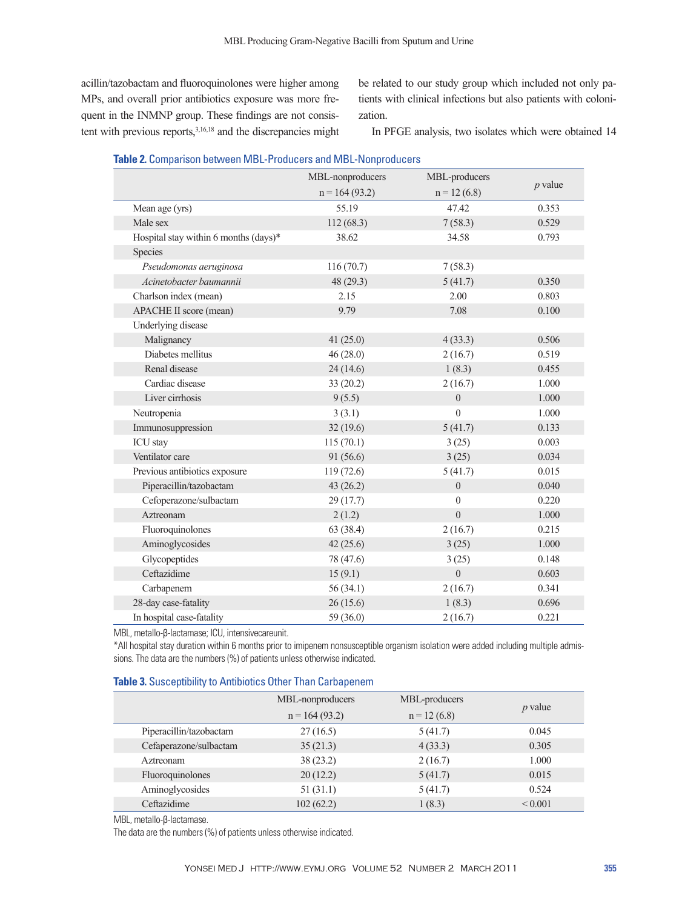acillin/tazobactam and fluoroquinolones were higher among MPs, and overall prior antibiotics exposure was more frequent in the INMNP group. These findings are not consistent with previous reports,<sup>3,16,18</sup> and the discrepancies might be related to our study group which included not only patients with clinical infections but also patients with colonization.

In PFGE analysis, two isolates which were obtained 14

|                                       | MBL-nonproducers | MBL-producers    |           |
|---------------------------------------|------------------|------------------|-----------|
|                                       | $n = 164(93.2)$  | $n = 12(6.8)$    | $p$ value |
| Mean age (yrs)                        | 55.19            | 47.42            | 0.353     |
| Male sex                              | 112(68.3)        | 7(58.3)          | 0.529     |
| Hospital stay within 6 months (days)* | 38.62            | 34.58            | 0.793     |
| Species                               |                  |                  |           |
| Pseudomonas aeruginosa                | 116(70.7)        | 7(58.3)          |           |
| Acinetobacter baumannii               | 48 (29.3)        | 5(41.7)          | 0.350     |
| Charlson index (mean)                 | 2.15             | 2.00             | 0.803     |
| APACHE II score (mean)                | 9.79             | 7.08             | 0.100     |
| Underlying disease                    |                  |                  |           |
| Malignancy                            | 41(25.0)         | 4(33.3)          | 0.506     |
| Diabetes mellitus                     | 46(28.0)         | 2(16.7)          | 0.519     |
| Renal disease                         | 24(14.6)         | 1(8.3)           | 0.455     |
| Cardiac disease                       | 33 (20.2)        | 2(16.7)          | 1.000     |
| Liver cirrhosis                       | 9(5.5)           | $\overline{0}$   | 1.000     |
| Neutropenia                           | 3(3.1)           | $\theta$         | 1.000     |
| Immunosuppression                     | 32(19.6)         | 5(41.7)          | 0.133     |
| ICU stay                              | 115(70.1)        | 3(25)            | 0.003     |
| Ventilator care                       | 91 (56.6)        | 3(25)            | 0.034     |
| Previous antibiotics exposure         | 119(72.6)        | 5(41.7)          | 0.015     |
| Piperacillin/tazobactam               | 43(26.2)         | $\overline{0}$   | 0.040     |
| Cefoperazone/sulbactam                | 29(17.7)         | $\theta$         | 0.220     |
| Aztreonam                             | 2(1.2)           | $\boldsymbol{0}$ | 1.000     |
| Fluoroquinolones                      | 63 (38.4)        | 2(16.7)          | 0.215     |
| Aminoglycosides                       | 42 (25.6)        | 3(25)            | 1.000     |
| Glycopeptides                         | 78 (47.6)        | 3(25)            | 0.148     |
| Ceftazidime                           | 15(9.1)          | $\overline{0}$   | 0.603     |
| Carbapenem                            | 56(34.1)         | 2(16.7)          | 0.341     |
| 28-day case-fatality                  | 26(15.6)         | 1(8.3)           | 0.696     |
| In hospital case-fatality             | 59 (36.0)        | 2(16.7)          | 0.221     |

MBL, metallo-β-lactamase; ICU, intensivecareunit.

\*All hospital stay duration within 6 months prior to imipenem nonsusceptible organism isolation were added including multiple admissions. The data are the numbers (%) of patients unless otherwise indicated.

|  | <b>Table 3.</b> Susceptibility to Antibiotics Other Than Carbapenem |  |  |
|--|---------------------------------------------------------------------|--|--|
|--|---------------------------------------------------------------------|--|--|

|                         | MBL-nonproducers<br>$n = 164(93.2)$ | MBL-producers<br>$n = 12(6.8)$ | $p$ value    |
|-------------------------|-------------------------------------|--------------------------------|--------------|
| Piperacillin/tazobactam | 27(16.5)                            | 5(41.7)                        | 0.045        |
| Cefaperazone/sulbactam  | 35(21.3)                            | 4(33.3)                        | 0.305        |
| Aztreonam               | 38(23.2)                            | 2(16.7)                        | 1.000        |
| Fluoroquinolones        | 20(12.2)                            | 5(41.7)                        | 0.015        |
| Aminoglycosides         | 51(31.1)                            | 5(41.7)                        | 0.524        |
| Ceftazidime             | 102(62.2)                           | 1(8.3)                         | ${}_{0.001}$ |

MBL, metallo-β-lactamase.

The data are the numbers (%) of patients unless otherwise indicated.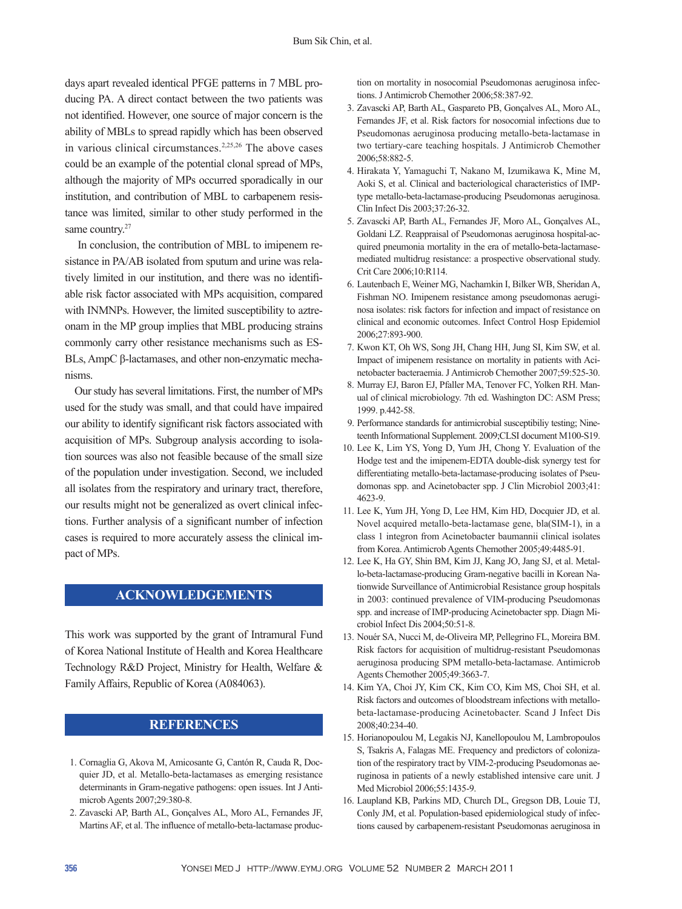days apart revealed identical PFGE patterns in 7 MBL producing PA. A direct contact between the two patients was not identified. However, one source of major concern is the ability of MBLs to spread rapidly which has been observed in various clinical circumstances.<sup>2,25,26</sup> The above cases could be an example of the potential clonal spread of MPs, although the majority of MPs occurred sporadically in our institution, and contribution of MBL to carbapenem resistance was limited, similar to other study performed in the same country.<sup>27</sup>

 In conclusion, the contribution of MBL to imipenem resistance in PA/AB isolated from sputum and urine was relatively limited in our institution, and there was no identifiable risk factor associated with MPs acquisition, compared with INMNPs. However, the limited susceptibility to aztreonam in the MP group implies that MBL producing strains commonly carry other resistance mechanisms such as ES-BLs, AmpC β-lactamases, and other non-enzymatic mechanisms.

Our study has several limitations. First, the number of MPs used for the study was small, and that could have impaired our ability to identify significant risk factors associated with acquisition of MPs. Subgroup analysis according to isolation sources was also not feasible because of the small size of the population under investigation. Second, we included all isolates from the respiratory and urinary tract, therefore, our results might not be generalized as overt clinical infections. Further analysis of a significant number of infection cases is required to more accurately assess the clinical impact of MPs.

# **ACKNOWLEDGEMENTS**

This work was supported by the grant of Intramural Fund of Korea National Institute of Health and Korea Healthcare Technology R&D Project, Ministry for Health, Welfare & Family Affairs, Republic of Korea (A084063).

# **REFERENCES**

- 1. Cornaglia G, Akova M, Amicosante G, Cantón R, Cauda R, Docquier JD, et al. Metallo-beta-lactamases as emerging resistance determinants in Gram-negative pathogens: open issues. Int J Antimicrob Agents 2007;29:380-8.
- 2. Zavascki AP, Barth AL, Gonçalves AL, Moro AL, Fernandes JF, Martins AF, et al. The influence of metallo-beta-lactamase produc-

tion on mortality in nosocomial Pseudomonas aeruginosa infections. J Antimicrob Chemother 2006;58:387-92.

- 3. Zavascki AP, Barth AL, Gaspareto PB, Gonçalves AL, Moro AL, Fernandes JF, et al. Risk factors for nosocomial infections due to Pseudomonas aeruginosa producing metallo-beta-lactamase in two tertiary-care teaching hospitals. J Antimicrob Chemother 2006;58:882-5.
- 4. Hirakata Y, Yamaguchi T, Nakano M, Izumikawa K, Mine M, Aoki S, et al. Clinical and bacteriological characteristics of IMPtype metallo-beta-lactamase-producing Pseudomonas aeruginosa. Clin Infect Dis 2003;37:26-32.
- 5. Zavascki AP, Barth AL, Fernandes JF, Moro AL, Gonçalves AL, Goldani LZ. Reappraisal of Pseudomonas aeruginosa hospital-acquired pneumonia mortality in the era of metallo-beta-lactamasemediated multidrug resistance: a prospective observational study. Crit Care 2006;10:R114.
- 6. Lautenbach E, Weiner MG, Nachamkin I, Bilker WB, Sheridan A, Fishman NO. Imipenem resistance among pseudomonas aeruginosa isolates: risk factors for infection and impact of resistance on clinical and economic outcomes. Infect Control Hosp Epidemiol 2006;27:893-900.
- 7. Kwon KT, Oh WS, Song JH, Chang HH, Jung SI, Kim SW, et al. Impact of imipenem resistance on mortality in patients with Acinetobacter bacteraemia. J Antimicrob Chemother 2007;59:525-30.
- 8. Murray EJ, Baron EJ, Pfaller MA, Tenover FC, Yolken RH. Manual of clinical microbiology. 7th ed. Washington DC: ASM Press; 1999. p.442-58.
- 9. Performance standards for antimicrobial susceptibiliy testing; Nineteenth Informational Supplement. 2009;CLSI document M100-S19.
- 10. Lee K, Lim YS, Yong D, Yum JH, Chong Y. Evaluation of the Hodge test and the imipenem-EDTA double-disk synergy test for differentiating metallo-beta-lactamase-producing isolates of Pseudomonas spp. and Acinetobacter spp. J Clin Microbiol 2003;41: 4623-9.
- 11. Lee K, Yum JH, Yong D, Lee HM, Kim HD, Docquier JD, et al. Novel acquired metallo-beta-lactamase gene, bla(SIM-1), in a class 1 integron from Acinetobacter baumannii clinical isolates from Korea. Antimicrob Agents Chemother 2005;49:4485-91.
- 12. Lee K, Ha GY, Shin BM, Kim JJ, Kang JO, Jang SJ, et al. Metallo-beta-lactamase-producing Gram-negative bacilli in Korean Nationwide Surveillance of Antimicrobial Resistance group hospitals in 2003: continued prevalence of VIM-producing Pseudomonas spp. and increase of IMP-producing Acinetobacter spp. Diagn Microbiol Infect Dis 2004;50:51-8.
- 13. Nouér SA, Nucci M, de-Oliveira MP, Pellegrino FL, Moreira BM. Risk factors for acquisition of multidrug-resistant Pseudomonas aeruginosa producing SPM metallo-beta-lactamase. Antimicrob Agents Chemother 2005;49:3663-7.
- 14. Kim YA, Choi JY, Kim CK, Kim CO, Kim MS, Choi SH, et al. Risk factors and outcomes of bloodstream infections with metallobeta-lactamase-producing Acinetobacter. Scand J Infect Dis 2008;40:234-40.
- 15. Horianopoulou M, Legakis NJ, Kanellopoulou M, Lambropoulos S, Tsakris A, Falagas ME. Frequency and predictors of colonization of the respiratory tract by VIM-2-producing Pseudomonas aeruginosa in patients of a newly established intensive care unit. J Med Microbiol 2006;55:1435-9.
- 16. Laupland KB, Parkins MD, Church DL, Gregson DB, Louie TJ, Conly JM, et al. Population-based epidemiological study of infections caused by carbapenem-resistant Pseudomonas aeruginosa in